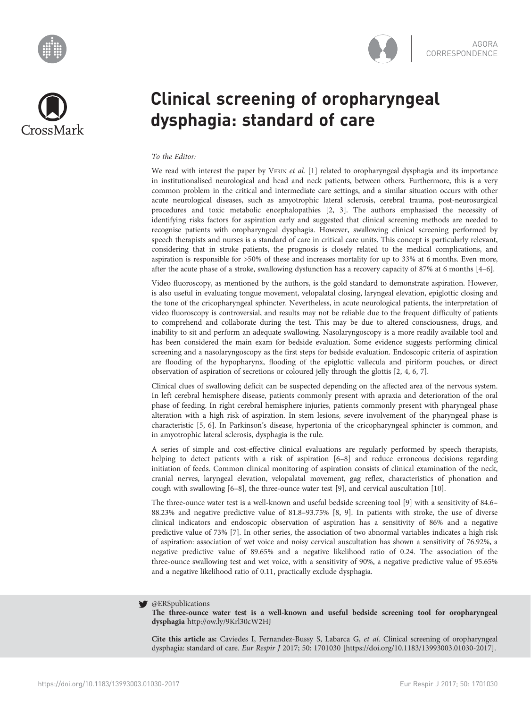





# Clinical screening of oropharyngeal dysphagia: standard of care

## To the Editor:

We read with interest the paper by VERIN et al. [[1](#page-1-0)] related to oropharyngeal dysphagia and its importance in institutionalised neurological and head and neck patients, between others. Furthermore, this is a very common problem in the critical and intermediate care settings, and a similar situation occurs with other acute neurological diseases, such as amyotrophic lateral sclerosis, cerebral trauma, post-neurosurgical procedures and toxic metabolic encephalopathies [[2](#page-1-0), [3](#page-1-0)]. The authors emphasised the necessity of identifying risks factors for aspiration early and suggested that clinical screening methods are needed to recognise patients with oropharyngeal dysphagia. However, swallowing clinical screening performed by speech therapists and nurses is a standard of care in critical care units. This concept is particularly relevant, considering that in stroke patients, the prognosis is closely related to the medical complications, and aspiration is responsible for >50% of these and increases mortality for up to 33% at 6 months. Even more, after the acute phase of a stroke, swallowing dysfunction has a recovery capacity of 87% at 6 months [[4](#page-1-0)–[6](#page-1-0)].

Video fluoroscopy, as mentioned by the authors, is the gold standard to demonstrate aspiration. However, is also useful in evaluating tongue movement, velopalatal closing, laryngeal elevation, epiglottic closing and the tone of the cricopharyngeal sphincter. Nevertheless, in acute neurological patients, the interpretation of video fluoroscopy is controversial, and results may not be reliable due to the frequent difficulty of patients to comprehend and collaborate during the test. This may be due to altered consciousness, drugs, and inability to sit and perform an adequate swallowing. Nasolaryngoscopy is a more readily available tool and has been considered the main exam for bedside evaluation. Some evidence suggests performing clinical screening and a nasolaryngoscopy as the first steps for bedside evaluation. Endoscopic criteria of aspiration are flooding of the hypopharynx, flooding of the epiglottic vallecula and piriform pouches, or direct observation of aspiration of secretions or coloured jelly through the glottis [[2](#page-1-0), [4](#page-1-0), [6](#page-1-0), [7\]](#page-1-0).

Clinical clues of swallowing deficit can be suspected depending on the affected area of the nervous system. In left cerebral hemisphere disease, patients commonly present with apraxia and deterioration of the oral phase of feeding. In right cerebral hemisphere injuries, patients commonly present with pharyngeal phase alteration with a high risk of aspiration. In stem lesions, severe involvement of the pharyngeal phase is characteristic [[5, 6\]](#page-1-0). In Parkinson's disease, hypertonia of the cricopharyngeal sphincter is common, and in amyotrophic lateral sclerosis, dysphagia is the rule.

A series of simple and cost-effective clinical evaluations are regularly performed by speech therapists, helping to detect patients with a risk of aspiration  $[6-8]$  $[6-8]$  $[6-8]$  $[6-8]$  and reduce erroneous decisions regarding initiation of feeds. Common clinical monitoring of aspiration consists of clinical examination of the neck, cranial nerves, laryngeal elevation, velopalatal movement, gag reflex, characteristics of phonation and cough with swallowing [\[6](#page-1-0)–[8\]](#page-1-0), the three-ounce water test [\[9\]](#page-1-0), and cervical auscultation [[10](#page-1-0)].

The three-ounce water test is a well-known and useful bedside screening tool [\[9](#page-1-0)] with a sensitivity of 84.6– 88.23% and negative predictive value of 81.8–93.75% [\[8, 9\]](#page-1-0). In patients with stroke, the use of diverse clinical indicators and endoscopic observation of aspiration has a sensitivity of 86% and a negative predictive value of 73% [\[7](#page-1-0)]. In other series, the association of two abnormal variables indicates a high risk of aspiration: association of wet voice and noisy cervical auscultation has shown a sensitivity of 76.92%, a negative predictive value of 89.65% and a negative likelihood ratio of 0.24. The association of the three-ounce swallowing test and wet voice, with a sensitivity of 90%, a negative predictive value of 95.65% and a negative likelihood ratio of 0.11, practically exclude dysphagia.

#### @ERSpublications

The three-ounce water test is a well-known and useful bedside screening tool for oropharyngeal dysphagia <http://ow.ly/9Krl30cW2HJ>

Cite this article as: Caviedes I, Fernandez-Bussy S, Labarca G, et al. Clinical screening of oropharyngeal dysphagia: standard of care. Eur Respir J 2017; 50: 1701030 [\[https://doi.org/10.1183/13993003.01030-2017\].](https://doi.org/10.1183/13993003.01030-2017)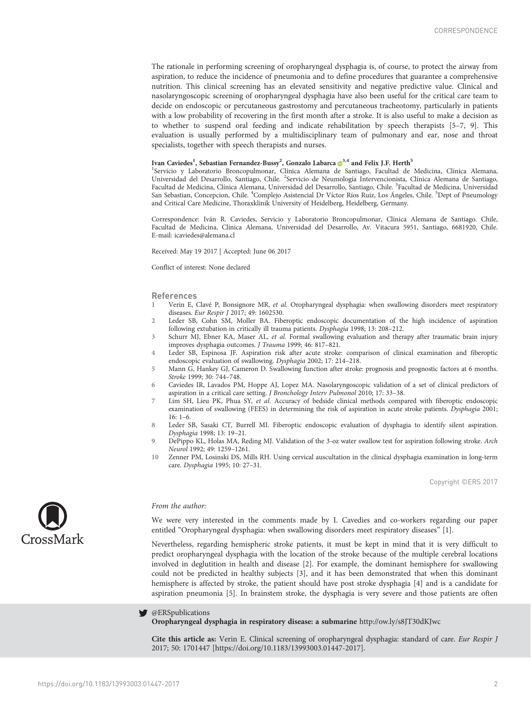<span id="page-1-0"></span>The rationale in performing screening of oropharyngeal dysphagia is, of course, to protect the airway from aspiration, to reduce the incidence of pneumonia and to define procedures that guarantee a comprehensive nutrition. This clinical screening has an elevated sensitivity and negative predictive value. Clinical and nasolaryngoscopic screening of oropharyngeal dysphagia have also been useful for the critical care team to decide on endoscopic or percutaneous gastrostomy and percutaneous tracheotomy, particularly in patients with a low probability of recovering in the first month after a stroke. It is also useful to make a decision as to whether to suspend oral feeding and indicate rehabilitation by speech therapists [5–7, 9]. This evaluation is usually performed by a multidisciplinary team of pulmonary and ear, nose and throat specialists, together with speech therapists and nurses.

### Ivan Caviedes<sup>1</sup>, Sebastian Fernandez-Bussy<sup>2</sup>, Gonzalo Labarca ®<sup>3,4</sup> and Felix J.F. Herth<sup>5</sup>

1 Servicio y Laboratorio Broncopulmonar, Clínica Alemana de Santiago, Facultad de Medicina, Clínica Alemana, Universidad del Desarrollo, Santiago, Chile. <sup>2</sup>Servicio de Neumología Intervencionista, Clínica Alemana de Santiago, Facultad de Medicina, Clínica Alemana, Universidad del Desarrollo, Santiago, Chile. <sup>3</sup>Facultad de Medicina, Universidad San Sebastian, Concepcion, Chile. <sup>4</sup>Complejo Asistencial Dr Víctor Ríos Ruiz, Los Ángeles, Chile. <sup>5</sup>Dept of Pneumology and Critical Care Medicine, Thoraxklinik University of Heidelberg, Heidelberg, Germany.

Correspondence: Iván R. Caviedes, Servicio y Laboratorio Broncopulmonar, Clínica Alemana de Santiago. Chile, Facultad de Medicina, Clínica Alemana, Universidad del Desarrollo, Av. Vitacura 5951, Santiago, 6681920, Chile. E-mail: [icaviedes@alemana.cl](mailto:icaviedes@alemana.cl)

Received: May 19 2017 | Accepted: June 06 2017

Conflict of interest: None declared

# References

- Verin E, Clavé P, Bonsignore MR, et al. Oropharyngeal dysphagia: when swallowing disorders meet respiratory diseases. Eur Respir J 2017; 49: 1602530.
- 2 Leder SB, Cohn SM, Moller BA. Fiberoptic endoscopic documentation of the high incidence of aspiration following extubation in critically ill trauma patients. Dysphagia 1998; 13: 208–212.
- 3 Schurr MJ, Ebner KA, Maser AL, et al. Formal swallowing evaluation and therapy after traumatic brain injury improves dysphagia outcomes. J Trauma 1999; 46: 817–821.
- 4 Leder SB, Espinosa JF. Aspiration risk after acute stroke: comparison of clinical examination and fiberoptic endoscopic evaluation of swallowing. Dysphagia 2002; 17: 214–218.
- 5 Mann G, Hankey GJ, Cameron D. Swallowing function after stroke: prognosis and prognostic factors at 6 months. Stroke 1999; 30: 744–748.
- 6 Caviedes IR, Lavados PM, Hoppe AJ, Lopez MA. Nasolaryngoscopic validation of a set of clinical predictors of aspiration in a critical care setting. J Bronchology Interv Pulmonol 2010; 17: 33–38.
- Lim SH, Lieu PK, Phua SY, et al. Accuracy of bedside clinical methods compared with fiberoptic endoscopic examination of swallowing (FEES) in determining the risk of aspiration in acute stroke patients. Dysphagia 2001; 16: 1–6.
- 8 Leder SB, Sasaki CT, Burrell MI. Fiberoptic endoscopic evaluation of dysphagia to identify silent aspiration. Dysphagia 1998; 13: 19–21.
- 9 DePippo KL, Holas MA, Reding MJ. Validation of the 3-oz water swallow test for aspiration following stroke. Arch Neurol 1992; 49: 1259–1261.
- 10 Zenner PM, Losinski DS, Mills RH. Using cervical auscultation in the clinical dysphagia examination in long-term care. Dysphagia 1995; 10: 27–31.

Copyright ©ERS 2017



#### From the author:

We were very interested in the comments made by I. Cavedies and co-workers regarding our paper entitled "Oropharyngeal dysphagia: when swallowing disorders meet respiratory diseases" [[1\]](#page-2-0).

Nevertheless, regarding hemispheric stroke patients, it must be kept in mind that it is very difficult to predict oropharyngeal dysphagia with the location of the stroke because of the multiple cerebral locations involved in deglutition in health and disease [[2\]](#page-2-0). For example, the dominant hemisphere for swallowing could not be predicted in healthy subjects [[3](#page-2-0)], and it has been demonstrated that when this dominant hemisphere is affected by stroke, the patient should have post stroke dysphagia [\[4](#page-2-0)] and is a candidate for aspiration pneumonia [[5](#page-2-0)]. In brainstem stroke, the dysphagia is very severe and those patients are often

#### @ERSpublications

Oropharyngeal dysphagia in respiratory disease: a submarine <http://ow.ly/s8JT30dKJwc>

Cite this article as: Verin E. Clinical screening of oropharyngeal dysphagia: standard of care. Eur Respir J 2017; 50: 1701447 [\[https://doi.org/10.1183/13993003.01447-2017\].](https://doi.org/10.1183/13993003.01447-2017)